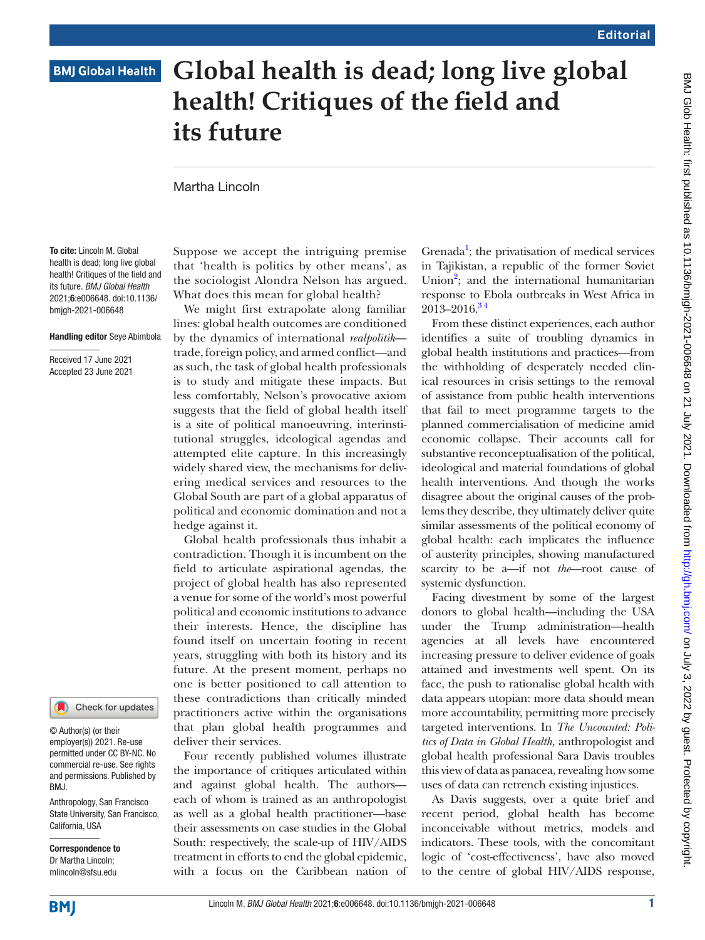## **BMJ Global Health**

# **Global health is dead; long live global health! Critiques of the field and its future**

## Martha Lincoln

To cite: Lincoln M. Global health is dead; long live global health! Critiques of the field and its future. *BMJ Global Health* 2021;6:e006648. doi:10.1136/ bmjgh-2021-006648

#### Handling editor Seye Abimbola

Received 17 June 2021 Accepted 23 June 2021

## Check for updates

© Author(s) (or their employer(s)) 2021. Re-use permitted under CC BY-NC. No commercial re-use. See rights and permissions. Published by BMJ.

Anthropology, San Francisco State University, San Francisco, California, USA

Correspondence to Dr Martha Lincoln; mlincoln@sfsu.edu

Suppose we accept the intriguing premise that 'health is politics by other means', as the sociologist Alondra Nelson has argued. What does this mean for global health?

We might first extrapolate along familiar lines: global health outcomes are conditioned by the dynamics of international *realpolitik* trade, foreign policy, and armed conflict—and as such, the task of global health professionals is to study and mitigate these impacts. But less comfortably, Nelson's provocative axiom suggests that the field of global health itself is a site of political manoeuvring, interinstitutional struggles, ideological agendas and attempted elite capture. In this increasingly widely shared view, the mechanisms for delivering medical services and resources to the Global South are part of a global apparatus of political and economic domination and not a hedge against it.

Global health professionals thus inhabit a contradiction. Though it is incumbent on the field to articulate aspirational agendas, the project of global health has also represented a venue for some of the world's most powerful political and economic institutions to advance their interests. Hence, the discipline has found itself on uncertain footing in recent years, struggling with both its history and its future. At the present moment, perhaps no one is better positioned to call attention to these contradictions than critically minded practitioners active within the organisations that plan global health programmes and deliver their services.

Four recently published volumes illustrate the importance of critiques articulated within and against global health. The authors each of whom is trained as an anthropologist as well as a global health practitioner—base their assessments on case studies in the Global South: respectively, the scale-up of HIV/AIDS treatment in efforts to end the global epidemic, with a focus on the Caribbean nation of

Grenada<sup>1</sup>; the privatisation of medical services in Tajikistan, a republic of the former Soviet Union<sup>[2](#page-3-1)</sup>; and the international humanitarian response to Ebola outbreaks in West Africa in  $2013 - 2016.34$ 

From these distinct experiences, each author identifies a suite of troubling dynamics in global health institutions and practices—from the withholding of desperately needed clinical resources in crisis settings to the removal of assistance from public health interventions that fail to meet programme targets to the planned commercialisation of medicine amid economic collapse. Their accounts call for substantive reconceptualisation of the political, ideological and material foundations of global health interventions. And though the works disagree about the original causes of the problems they describe, they ultimately deliver quite similar assessments of the political economy of global health: each implicates the influence of austerity principles, showing manufactured scarcity to be a—if not *the*—root cause of systemic dysfunction.

Facing divestment by some of the largest donors to global health—including the USA under the Trump administration—health agencies at all levels have encountered increasing pressure to deliver evidence of goals attained and investments well spent. On its face, the push to rationalise global health with data appears utopian: more data should mean more accountability, permitting more precisely targeted interventions. In *The Uncounted: Politics of Data in Global Health,* anthropologist and global health professional Sara Davis troubles this view of data as panacea, revealing how some uses of data can retrench existing injustices.

As Davis suggests, over a quite brief and recent period, global health has become inconceivable without metrics, models and indicators. These tools, with the concomitant logic of 'cost-effectiveness', have also moved to the centre of global HIV/AIDS response,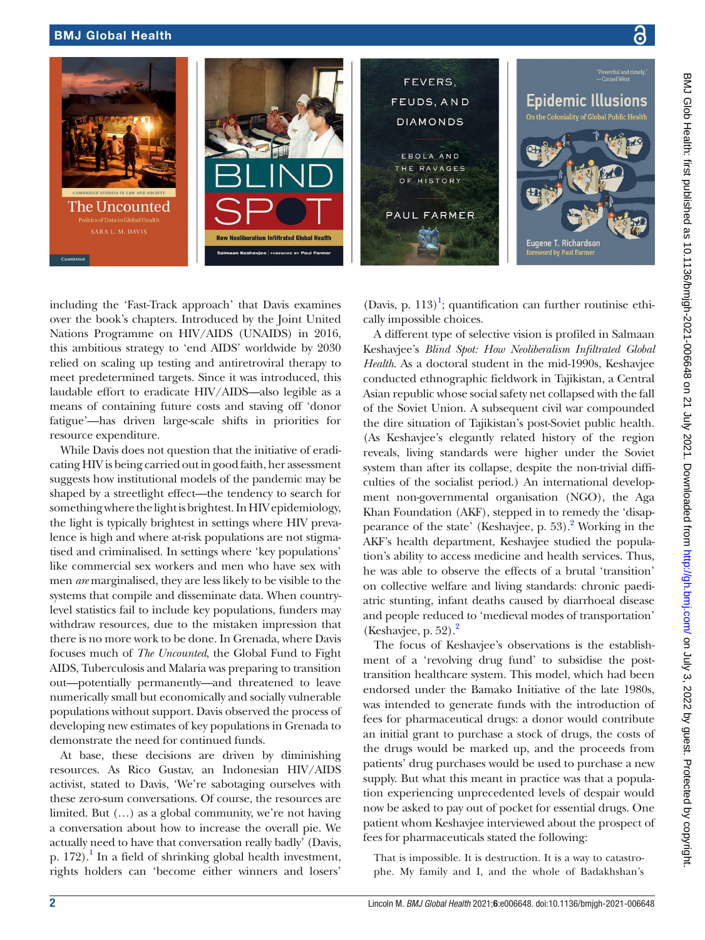

including the 'Fast-Track approach' that Davis examines over the book's chapters. Introduced by the Joint United Nations Programme on HIV/AIDS (UNAIDS) in 2016, this ambitious strategy to 'end AIDS' worldwide by 2030 relied on scaling up testing and antiretroviral therapy to meet predetermined targets. Since it was introduced, this laudable effort to eradicate HIV/AIDS—also legible as a means of containing future costs and staving off 'donor fatigue'—has driven large-scale shifts in priorities for resource expenditure.

While Davis does not question that the initiative of eradicating HIV is being carried out in good faith, her assessment suggests how institutional models of the pandemic may be shaped by a streetlight effect—the tendency to search for something where the light is brightest. In HIV epidemiology, the light is typically brightest in settings where HIV prevalence is high and where at-risk populations are not stigmatised and criminalised. In settings where 'key populations' like commercial sex workers and men who have sex with men *are* marginalised, they are less likely to be visible to the systems that compile and disseminate data. When countrylevel statistics fail to include key populations, funders may withdraw resources, due to the mistaken impression that there is no more work to be done. In Grenada, where Davis focuses much of *The Uncounted*, the Global Fund to Fight AIDS, Tuberculosis and Malaria was preparing to transition out—potentially permanently—and threatened to leave numerically small but economically and socially vulnerable populations without support. Davis observed the process of developing new estimates of key populations in Grenada to demonstrate the need for continued funds.

At base, these decisions are driven by diminishing resources. As Rico Gustav, an Indonesian HIV/AIDS activist, stated to Davis, 'We're sabotaging ourselves with these zero-sum conversations. Of course, the resources are limited. But (…) as a global community, we're not having a conversation about how to increase the overall pie. We actually need to have that conversation really badly' (Davis, p.  $172$ ).<sup>1</sup> In a field of shrinking global health investment, rights holders can 'become either winners and losers'

(Davis, p.  $113$ )<sup>1</sup>; quantification can further routinise ethically impossible choices.

A different type of selective vision is profiled in Salmaan Keshavjee's *Blind Spot: How Neoliberalism Infiltrated Global Health*. As a doctoral student in the mid-1990s, Keshavjee conducted ethnographic fieldwork in Tajikistan, a Central Asian republic whose social safety net collapsed with the fall of the Soviet Union. A subsequent civil war compounded the dire situation of Tajikistan's post-Soviet public health. (As Keshavjee's elegantly related history of the region reveals, living standards were higher under the Soviet system than after its collapse, despite the non-trivial difficulties of the socialist period.) An international development non-governmental organisation (NGO), the Aga Khan Foundation (AKF), stepped in to remedy the 'disappearance of the state' (Keshavjee, p. 53).<sup>2</sup> Working in the AKF's health department, Keshavjee studied the population's ability to access medicine and health services. Thus, he was able to observe the effects of a brutal 'transition' on collective welfare and living standards: chronic paediatric stunting, infant deaths caused by diarrhoeal disease and people reduced to 'medieval modes of transportation' (Keshavjee, p.  $52$  $52$ ).<sup>2</sup>

The focus of Keshavjee's observations is the establishment of a 'revolving drug fund' to subsidise the posttransition healthcare system. This model, which had been endorsed under the Bamako Initiative of the late 1980s, was intended to generate funds with the introduction of fees for pharmaceutical drugs: a donor would contribute an initial grant to purchase a stock of drugs, the costs of the drugs would be marked up, and the proceeds from patients' drug purchases would be used to purchase a new supply. But what this meant in practice was that a population experiencing unprecedented levels of despair would now be asked to pay out of pocket for essential drugs. One patient whom Keshavjee interviewed about the prospect of fees for pharmaceuticals stated the following:

That is impossible. It is destruction. It is a way to catastrophe. My family and I, and the whole of Badakhshan's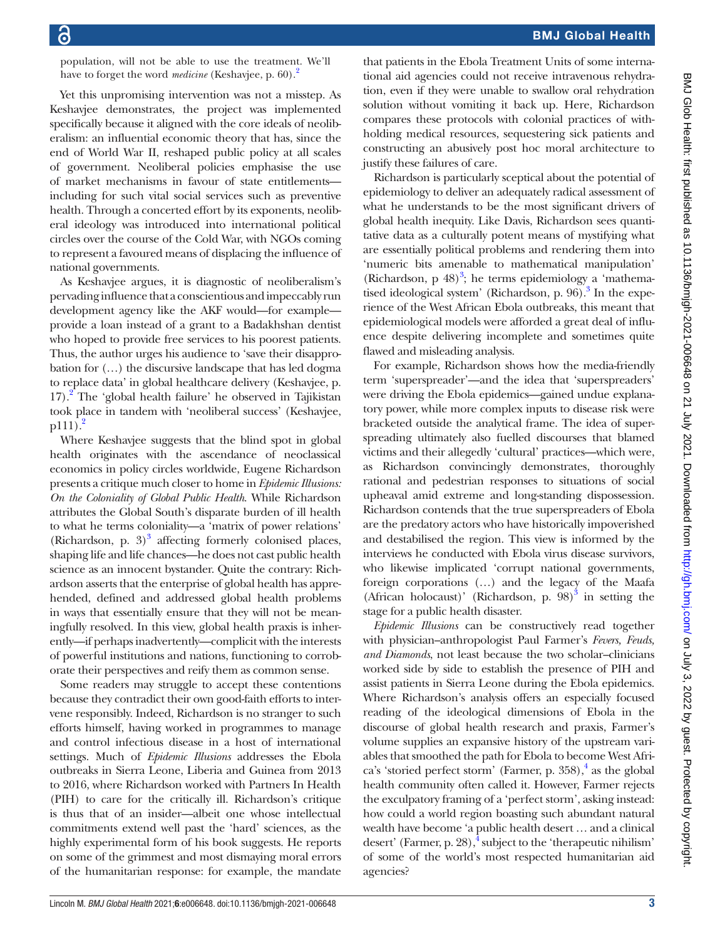population, will not be able to use the treatment. We'll have to forget the word *medicine* (Keshavjee, p. 60).<sup>2</sup>

Yet this unpromising intervention was not a misstep. As Keshavjee demonstrates, the project was implemented specifically because it aligned with the core ideals of neoliberalism: an influential economic theory that has, since the end of World War II, reshaped public policy at all scales of government. Neoliberal policies emphasise the use of market mechanisms in favour of state entitlements including for such vital social services such as preventive health. Through a concerted effort by its exponents, neoliberal ideology was introduced into international political circles over the course of the Cold War, with NGOs coming to represent a favoured means of displacing the influence of national governments.

As Keshavjee argues, it is diagnostic of neoliberalism's pervading influence that a conscientious and impeccably run development agency like the AKF would—for example provide a loan instead of a grant to a Badakhshan dentist who hoped to provide free services to his poorest patients. Thus, the author urges his audience to 'save their disapprobation for (…) the discursive landscape that has led dogma to replace data' in global healthcare delivery (Keshavjee, p. 17).<sup>2</sup> The 'global health failure' he observed in Tajikistan took place in tandem with 'neoliberal success' (Keshavjee,  $p111$ ).<sup>2</sup>

Where Keshavjee suggests that the blind spot in global health originates with the ascendance of neoclassical economics in policy circles worldwide, Eugene Richardson presents a critique much closer to home in *Epidemic Illusions: On the Coloniality of Global Public Health*. While Richardson attributes the Global South's disparate burden of ill health to what he terms coloniality—a 'matrix of power relations' (Richardson, p.  $3$ )<sup>3</sup> affecting formerly colonised places, shaping life and life chances—he does not cast public health science as an innocent bystander. Quite the contrary: Richardson asserts that the enterprise of global health has apprehended, defined and addressed global health problems in ways that essentially ensure that they will not be meaningfully resolved. In this view, global health praxis is inherently—if perhaps inadvertently—complicit with the interests of powerful institutions and nations, functioning to corroborate their perspectives and reify them as common sense.

Some readers may struggle to accept these contentions because they contradict their own good-faith efforts to intervene responsibly. Indeed, Richardson is no stranger to such efforts himself, having worked in programmes to manage and control infectious disease in a host of international settings. Much of *Epidemic Illusions* addresses the Ebola outbreaks in Sierra Leone, Liberia and Guinea from 2013 to 2016, where Richardson worked with Partners In Health (PIH) to care for the critically ill. Richardson's critique is thus that of an insider—albeit one whose intellectual commitments extend well past the 'hard' sciences, as the highly experimental form of his book suggests. He reports on some of the grimmest and most dismaying moral errors of the humanitarian response: for example, the mandate

that patients in the Ebola Treatment Units of some international aid agencies could not receive intravenous rehydration, even if they were unable to swallow oral rehydration solution without vomiting it back up. Here, Richardson compares these protocols with colonial practices of withholding medical resources, sequestering sick patients and constructing an abusively post hoc moral architecture to justify these failures of care.

Richardson is particularly sceptical about the potential of epidemiology to deliver an adequately radical assessment of what he understands to be the most significant drivers of global health inequity. Like Davis, Richardson sees quantitative data as a culturally potent means of mystifying what are essentially political problems and rendering them into 'numeric bits amenable to mathematical manipulation' (Richardson, p  $48$ )<sup>[3](#page-3-2)</sup>; he terms epidemiology a 'mathematised ideological system' (Richardson, p. 96).<sup>3</sup> In the experience of the West African Ebola outbreaks, this meant that epidemiological models were afforded a great deal of influence despite delivering incomplete and sometimes quite flawed and misleading analysis.

For example, Richardson shows how the media-friendly term 'superspreader'—and the idea that 'superspreaders' were driving the Ebola epidemics—gained undue explanatory power, while more complex inputs to disease risk were bracketed outside the analytical frame. The idea of superspreading ultimately also fuelled discourses that blamed victims and their allegedly 'cultural' practices—which were, as Richardson convincingly demonstrates, thoroughly rational and pedestrian responses to situations of social upheaval amid extreme and long-standing dispossession. Richardson contends that the true superspreaders of Ebola are the predatory actors who have historically impoverished and destabilised the region. This view is informed by the interviews he conducted with Ebola virus disease survivors, who likewise implicated 'corrupt national governments, foreign corporations (…) and the legacy of the Maafa (African holocaust)' (Richardson, p. 98) $3$  in setting the stage for a public health disaster.

*Epidemic Illusions* can be constructively read together with physician–anthropologist Paul Farmer's *Fevers, Feuds, and Diamonds*, not least because the two scholar–clinicians worked side by side to establish the presence of PIH and assist patients in Sierra Leone during the Ebola epidemics. Where Richardson's analysis offers an especially focused reading of the ideological dimensions of Ebola in the discourse of global health research and praxis, Farmer's volume supplies an expansive history of the upstream variables that smoothed the path for Ebola to become West Africa's 'storied perfect storm' (Farmer, p.  $358$ ), $^{4}$  as the global health community often called it. However, Farmer rejects the exculpatory framing of a 'perfect storm', asking instead: how could a world region boasting such abundant natural wealth have become 'a public health desert … and a clinical desert' (Farmer, p. 28), $\frac{4}{3}$  $\frac{4}{3}$  $\frac{4}{3}$  subject to the 'therapeutic nihilism' of some of the world's most respected humanitarian aid agencies?